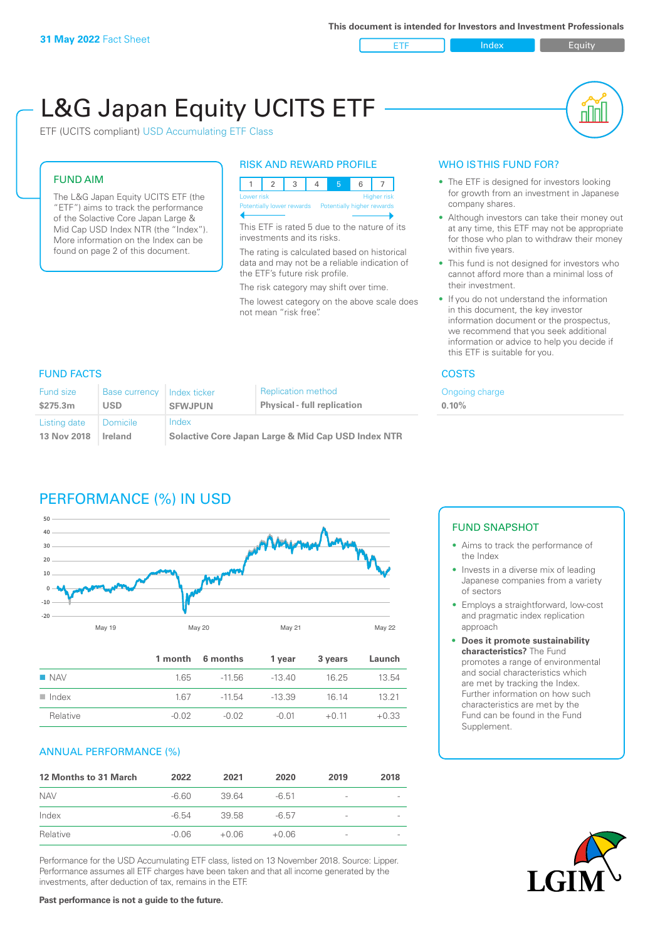ETF Index Buity

nl M

# L&G Japan Equity UCITS ETF

ETF (UCITS compliant) USD Accumulating ETF Class

#### FUND AIM

The L&G Japan Equity UCITS ETF (the "ETF") aims to track the performance of the Solactive Core Japan Large & Mid Cap USD Index NTR (the "Index"). More information on the Index can be found on page 2 of this document.

#### RISK AND REWARD PROFILE

| Lower risk<br><b>Higher risk</b> |  |  |                           |  |                            |  |  |  |  |
|----------------------------------|--|--|---------------------------|--|----------------------------|--|--|--|--|
|                                  |  |  | Potentially lower rewards |  | Potentially higher rewards |  |  |  |  |
|                                  |  |  |                           |  |                            |  |  |  |  |

This ETF is rated 5 due to the nature of its investments and its risks.

The rating is calculated based on historical data and may not be a reliable indication of the ETF's future risk profile.

The risk category may shift over time.

The lowest category on the above scale does not mean "risk free".

### WHO IS THIS FUND FOR?

- The ETF is designed for investors looking for growth from an investment in Japanese company shares.
- Although investors can take their money out at any time, this ETF may not be appropriate for those who plan to withdraw their money within five years.
- This fund is not designed for investors who cannot afford more than a minimal loss of their investment.
- If you do not understand the information in this document, the key investor information document or the prospectus, we recommend that you seek additional information or advice to help you decide if this ETF is suitable for you.

**0.10%**

Ongoing charge

#### FUND FACTS COSTS

| <b>Fund size</b> | <b>Base currency</b> | Index ticker                                       | <b>Replication method</b>          |  |
|------------------|----------------------|----------------------------------------------------|------------------------------------|--|
| \$275.3m         | <b>USD</b>           | <b>SFWJPUN</b>                                     | <b>Physical - full replication</b> |  |
| Listing date     | Domicile             | Index                                              |                                    |  |
| 13 Nov 2018      | Ireland              | Solactive Core Japan Large & Mid Cap USD Index NTR |                                    |  |

# PERFORMANCE (%) IN USD



|                      |       | 1 month 6 months | 1 year   | 3 years | Launch  |
|----------------------|-------|------------------|----------|---------|---------|
| $\blacksquare$ NAV   | 1.65  | -11.56           | -13 40   | 16.25   | 13.54   |
| $\blacksquare$ Index | 167   | -11.54           | $-13.39$ | 16 14   | 13 21   |
| Relative             | -0.02 | -0.02            | $-0.01$  | $+0.11$ | $+0.33$ |

#### ANNUAL PERFORMANCE (%)

| 12 Months to 31 March | 2022    | 2021    | 2020    | 2019                     | 2018 |
|-----------------------|---------|---------|---------|--------------------------|------|
| <b>NAV</b>            | -6.60   | 39.64   | $-6.51$ | $\qquad \qquad$          |      |
| Index                 | $-6.54$ | 39.58   | $-6.57$ | $\overline{\phantom{a}}$ |      |
| Relative              | $-0.06$ | $+0.06$ | $+0.06$ | $\overline{\phantom{a}}$ |      |

Performance for the USD Accumulating ETF class, listed on 13 November 2018. Source: Lipper. Performance assumes all ETF charges have been taken and that all income generated by the investments, after deduction of tax, remains in the ETF.

#### FUND SNAPSHOT

- Aims to track the performance of the Index
- Invests in a diverse mix of leading Japanese companies from a variety of sectors
- Employs a straightforward, low-cost and pragmatic index replication approach
- **• Does it promote sustainability characteristics?** The Fund promotes a range of environmental and social characteristics which are met by tracking the Index. Further information on how such characteristics are met by the Fund can be found in the Fund Supplement.



**Past performance is not a guide to the future.**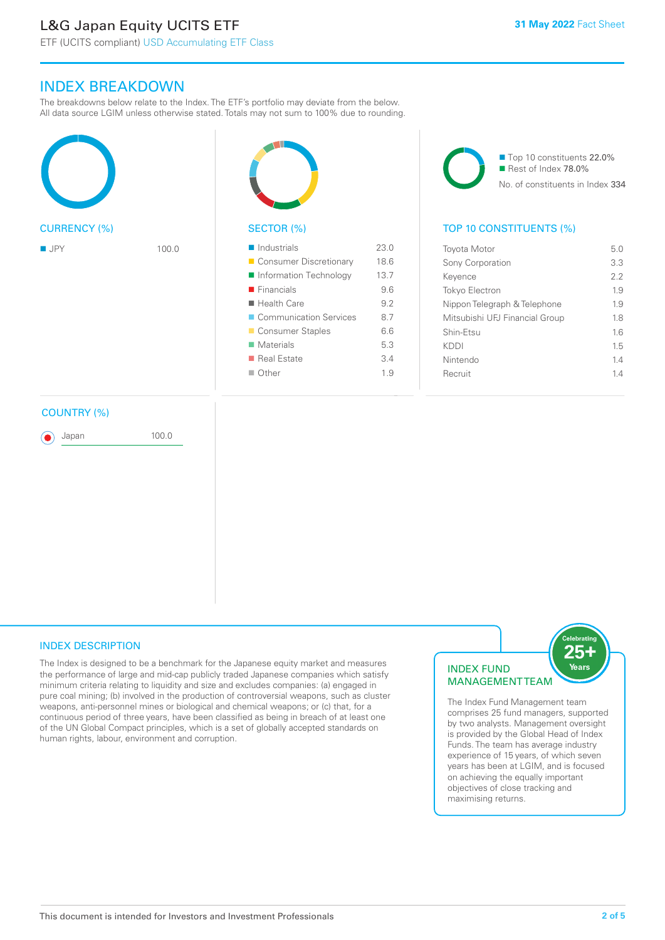# L&G Japan Equity UCITS ETF

# INDEX BREAKDOWN

The breakdowns below relate to the Index. The ETF's portfolio may deviate from the below. All data source LGIM unless otherwise stated. Totals may not sum to 100% due to rounding.







| <b>Toyota Motor</b>            | 50  |
|--------------------------------|-----|
| Sony Corporation               | 3.3 |
| Keyence                        | 22  |
| <b>Tokyo Electron</b>          | 19  |
| Nippon Telegraph & Telephone   | 19  |
| Mitsubishi UFJ Financial Group | 18  |
| Shin-Etsu                      | 16  |
| KDDI                           | 15  |
| Nintendo                       | 14  |
| Recruit                        | 14  |
|                                |     |

#### COUNTRY (%)

Japan 100.0

#### INDEX DESCRIPTION

The Index is designed to be a benchmark for the Japanese equity market and measures the performance of large and mid-cap publicly traded Japanese companies which satisfy minimum criteria relating to liquidity and size and excludes companies: (a) engaged in pure coal mining; (b) involved in the production of controversial weapons, such as cluster weapons, anti-personnel mines or biological and chemical weapons; or (c) that, for a continuous period of three years, have been classified as being in breach of at least one of the UN Global Compact principles, which is a set of globally accepted standards on human rights, labour, environment and corruption.

### $25<sub>1</sub>$ INDEX FUND **MANAGEMENTTEAM**

The Index Fund Management team comprises 25 fund managers, supported by two analysts. Management oversight is provided by the Global Head of Index Funds. The team has average industry experience of 15 years, of which seven years has been at LGIM, and is focused on achieving the equally important objectives of close tracking and maximising returns.

.<br>Celebratin

Years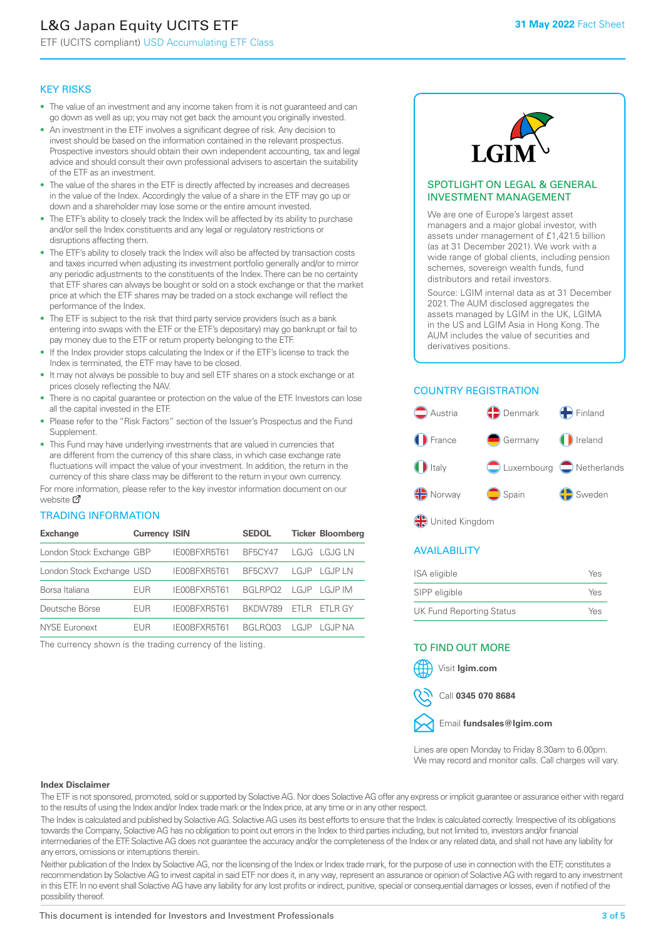# L&G Japan Equity UCITS ETF

ETF (UCITS compliant) USD Accumulating ETF Class

#### KEY RISKS

- The value of an investment and any income taken from it is not guaranteed and can go down as well as up; you may not get back the amount you originally invested.
- An investment in the ETF involves a significant degree of risk. Any decision to invest should be based on the information contained in the relevant prospectus. Prospective investors should obtain their own independent accounting, tax and legal advice and should consult their own professional advisers to ascertain the suitability of the ETF as an investment.
- The value of the shares in the ETF is directly affected by increases and decreases in the value of the Index. Accordingly the value of a share in the ETF may go up or down and a shareholder may lose some or the entire amount invested.
- The ETF's ability to closely track the Index will be affected by its ability to purchase and/or sell the Index constituents and any legal or regulatory restrictions or disruptions affecting them.
- The ETF's ability to closely track the Index will also be affected by transaction costs and taxes incurred when adjusting its investment portfolio generally and/or to mirror any periodic adjustments to the constituents of the Index. There can be no certainty that ETF shares can always be bought or sold on a stock exchange or that the market price at which the ETF shares may be traded on a stock exchange will reflect the performance of the Index.
- The ETF is subject to the risk that third party service providers (such as a bank entering into swaps with the ETF or the ETF's depositary) may go bankrupt or fail to pay money due to the ETF or return property belonging to the ETF.
- If the Index provider stops calculating the Index or if the ETF's license to track the Index is terminated, the ETF may have to be closed.
- It may not always be possible to buy and sell ETF shares on a stock exchange or at prices closely reflecting the NAV.
- There is no capital guarantee or protection on the value of the ETF. Investors can lose all the capital invested in the ETF.
- Please refer to the "Risk Factors" section of the Issuer's Prospectus and the Fund Supplement.
- This Fund may have underlying investments that are valued in currencies that are different from the currency of this share class, in which case exchange rate fluctuations will impact the value of your investment. In addition, the return in the currency of this share class may be different to the return in your own currency.

For mo[re inf](https://www.lgimetf.com/)ormation, please refer to the key investor information document on our website M

#### TRADING INFORMATION

| <b>Exchange</b>           | <b>Currency ISIN</b> |              | <b>SEDOL</b>         |                | <b>Ticker Bloomberg</b>            |
|---------------------------|----------------------|--------------|----------------------|----------------|------------------------------------|
| London Stock Exchange GBP |                      | IE00BFXR5T61 | <b>BF5CY47</b>       |                | LGJG LGJG LN                       |
| London Stock Exchange USD |                      | IE00BFXR5T61 | BF5CXV7              |                | $AGIP$ $AGIPIN$                    |
| Borsa Italiana            | EUR                  | IE00BFXR5T61 | BGI RPO <sub>2</sub> |                | $\lfloor$ G, IP $\lfloor$ G, IP IM |
| Deutsche Börse            | EUR                  | IE00BFXR5T61 | BKDW789              | FTI R          | FTI R GY                           |
| NYSE Euronext             | FUR                  | IE00BFXR5T61 | <b>BGI RO03</b>      | $\sqcup$ G, JP | I G.JP NA                          |

The currency shown is the trading currency of the listing.



#### SPOTLIGHT ON LEGAL & GENERAL INVESTMENT MANAGEMENT

We are one of Europe's largest asset managers and a major global investor, with assets under management of £1,421.5 billion (as at 31 December 2021). We work with a wide range of global clients, including pension schemes, sovereign wealth funds, fund distributors and retail investors.

Source: LGIM internal data as at 31 December 2021. The AUM disclosed aggregates the assets managed by LGIM in the UK, LGIMA in the US and LGIM Asia in Hong Kong. The AUM includes the value of securities and derivatives positions.

#### COUNTRY REGISTRATION



**OR** United Kingdom

#### AVAILABILITY

| ISA eligible                    | Yes |
|---------------------------------|-----|
| SIPP eligible                   | Yes |
| <b>UK Fund Reporting Status</b> | Yes |

#### TO FIND OUT MORE





Call **0345 070 8684**



Lines are open Monday to Friday 8.30am to 6.00pm. We may record and monitor calls. Call charges will vary.

#### **Index Disclaimer**

The ETF is not sponsored, promoted, sold or supported by Solactive AG. Nor does Solactive AG offer any express or implicit guarantee or assurance either with regard to the results of using the Index and/or Index trade mark or the Index price, at any time or in any other respect.

The Index is calculated and published by Solactive AG. Solactive AG uses its best efforts to ensure that the Index is calculated correctly. Irrespective of its obligations towards the Company, Solactive AG has no obligation to point out errors in the Index to third parties including, but not limited to, investors and/or financial intermediaries of the ETF. Solactive AG does not guarantee the accuracy and/or the completeness of the Index or any related data, and shall not have any liability for any errors, omissions or interruptions therein.

Neither publication of the Index by Solactive AG, nor the licensing of the Index or Index trade mark, for the purpose of use in connection with the ETF, constitutes a recommendation by Solactive AG to invest capital in said ETF nor does it, in any way, represent an assurance or opinion of Solactive AG with regard to any investment in this ETF. In no event shall Solactive AG have any liability for any lost profits or indirect, punitive, special or consequential damages or losses, even if notified of the possibility thereof.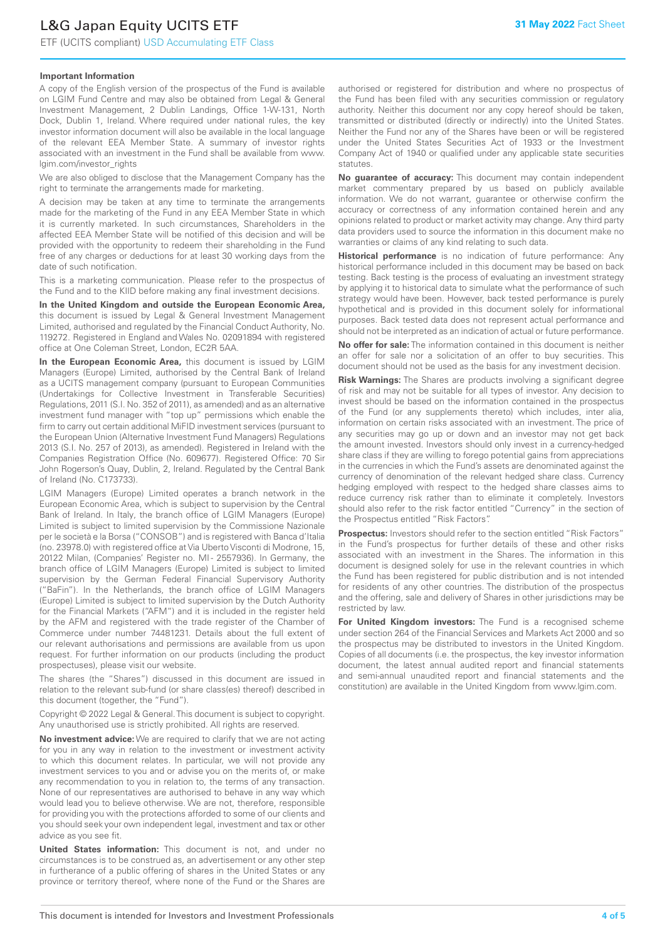ETF (UCITS compliant) USD Accumulating ETF Class

#### **Important Information**

A copy of the English version of the prospectus of the Fund is available on LGIM Fund Centre and may also be obtained from Legal & General Investment Management, 2 Dublin Landings, Office 1-W-131, North Dock, Dublin 1, Ireland. Where required under national rules, the key investor information document will also be available in the local language of the relevant EEA Member State. A summary of investor rights associated with an investment in the Fund shall be available from www. lgim.com/investor\_rights

We are also obliged to disclose that the Management Company has the right to terminate the arrangements made for marketing.

A decision may be taken at any time to terminate the arrangements made for the marketing of the Fund in any EEA Member State in which it is currently marketed. In such circumstances, Shareholders in the affected EEA Member State will be notified of this decision and will be provided with the opportunity to redeem their shareholding in the Fund free of any charges or deductions for at least 30 working days from the date of such notification.

This is a marketing communication. Please refer to the prospectus of the Fund and to the KIID before making any final investment decisions.

**In the United Kingdom and outside the European Economic Area,** this document is issued by Legal & General Investment Management Limited, authorised and regulated by the Financial Conduct Authority, No. 119272. Registered in England and Wales No. 02091894 with registered office at One Coleman Street, London, EC2R 5AA.

**In the European Economic Area,** this document is issued by LGIM Managers (Europe) Limited, authorised by the Central Bank of Ireland as a UCITS management company (pursuant to European Communities (Undertakings for Collective Investment in Transferable Securities) Regulations, 2011 (S.I. No. 352 of 2011), as amended) and as an alternative investment fund manager with "top up" permissions which enable the firm to carry out certain additional MiFID investment services (pursuant to the European Union (Alternative Investment Fund Managers) Regulations 2013 (S.I. No. 257 of 2013), as amended). Registered in Ireland with the Companies Registration Office (No. 609677). Registered Office: 70 Sir John Rogerson's Quay, Dublin, 2, Ireland. Regulated by the Central Bank of Ireland (No. C173733).

LGIM Managers (Europe) Limited operates a branch network in the European Economic Area, which is subject to supervision by the Central Bank of Ireland. In Italy, the branch office of LGIM Managers (Europe) Limited is subject to limited supervision by the Commissione Nazionale per le società e la Borsa ("CONSOB") and is registered with Banca d'Italia (no. 23978.0) with registered office at Via Uberto Visconti di Modrone, 15, 20122 Milan, (Companies' Register no. MI - 2557936). In Germany, the branch office of LGIM Managers (Europe) Limited is subject to limited supervision by the German Federal Financial Supervisory Authority ("BaFin"). In the Netherlands, the branch office of LGIM Managers (Europe) Limited is subject to limited supervision by the Dutch Authority for the Financial Markets ("AFM") and it is included in the register held by the AFM and registered with the trade register of the Chamber of Commerce under number 74481231. Details about the full extent of our relevant authorisations and permissions are available from us upon request. For further information on our products (including the product prospectuses), please visit our website.

The shares (the "Shares") discussed in this document are issued in relation to the relevant sub-fund (or share class(es) thereof) described in this document (together, the "Fund").

Copyright © 2022 Legal & General. This document is subject to copyright. Any unauthorised use is strictly prohibited. All rights are reserved.

**No investment advice:** We are required to clarify that we are not acting for you in any way in relation to the investment or investment activity to which this document relates. In particular, we will not provide any investment services to you and or advise you on the merits of, or make any recommendation to you in relation to, the terms of any transaction. None of our representatives are authorised to behave in any way which would lead you to believe otherwise. We are not, therefore, responsible for providing you with the protections afforded to some of our clients and you should seek your own independent legal, investment and tax or other advice as you see fit.

**United States information:** This document is not, and under no circumstances is to be construed as, an advertisement or any other step in furtherance of a public offering of shares in the United States or any province or territory thereof, where none of the Fund or the Shares are authorised or registered for distribution and where no prospectus of the Fund has been filed with any securities commission or regulatory authority. Neither this document nor any copy hereof should be taken, transmitted or distributed (directly or indirectly) into the United States. Neither the Fund nor any of the Shares have been or will be registered under the United States Securities Act of 1933 or the Investment Company Act of 1940 or qualified under any applicable state securities statutes.

**No guarantee of accuracy:** This document may contain independent market commentary prepared by us based on publicly available information. We do not warrant, guarantee or otherwise confirm the accuracy or correctness of any information contained herein and any opinions related to product or market activity may change. Any third party data providers used to source the information in this document make no warranties or claims of any kind relating to such data.

**Historical performance** is no indication of future performance: Any historical performance included in this document may be based on back testing. Back testing is the process of evaluating an investment strategy by applying it to historical data to simulate what the performance of such strategy would have been. However, back tested performance is purely hypothetical and is provided in this document solely for informational purposes. Back tested data does not represent actual performance and should not be interpreted as an indication of actual or future performance.

**No offer for sale:** The information contained in this document is neither an offer for sale nor a solicitation of an offer to buy securities. This document should not be used as the basis for any investment decision.

**Risk Warnings:** The Shares are products involving a significant degree of risk and may not be suitable for all types of investor. Any decision to invest should be based on the information contained in the prospectus of the Fund (or any supplements thereto) which includes, inter alia, information on certain risks associated with an investment. The price of any securities may go up or down and an investor may not get back the amount invested. Investors should only invest in a currency-hedged share class if they are willing to forego potential gains from appreciations in the currencies in which the Fund's assets are denominated against the currency of denomination of the relevant hedged share class. Currency hedging employed with respect to the hedged share classes aims to reduce currency risk rather than to eliminate it completely. Investors should also refer to the risk factor entitled "Currency" in the section of the Prospectus entitled "Risk Factors".

**Prospectus:** Investors should refer to the section entitled "Risk Factors" in the Fund's prospectus for further details of these and other risks associated with an investment in the Shares. The information in this document is designed solely for use in the relevant countries in which the Fund has been registered for public distribution and is not intended for residents of any other countries. The distribution of the prospectus and the offering, sale and delivery of Shares in other jurisdictions may be restricted by law.

**For United Kingdom investors:** The Fund is a recognised scheme under section 264 of the Financial Services and Markets Act 2000 and so the prospectus may be distributed to investors in the United Kingdom. Copies of all documents (i.e. the prospectus, the key investor information document, the latest annual audited report and financial statements and semi-annual unaudited report and financial statements and the constitution) are available in the United Kingdom from www.lgim.com.